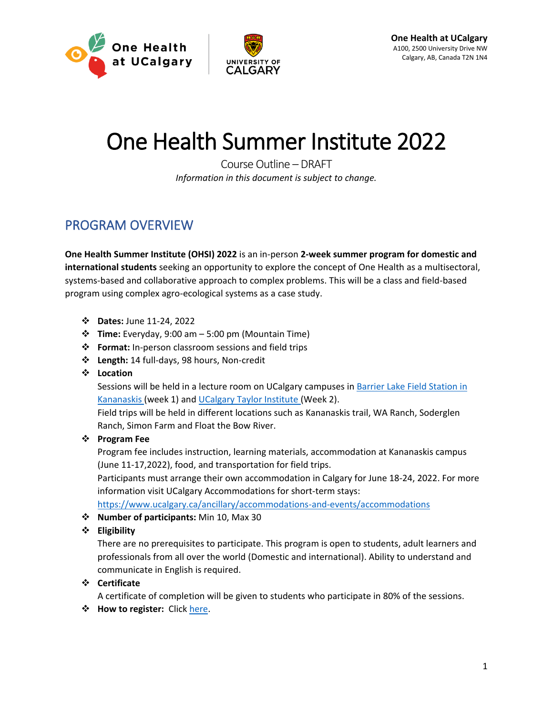



# One Health Summer Institute 2022

Course Outline – DRAFT *Information in this document is subject to change.*

### PROGRAM OVERVIEW

**One Health Summer Institute (OHSI) 2022** is an in-person **2-week summer program for domestic and international students** seeking an opportunity to explore the concept of One Health as a multisectoral, systems-based and collaborative approach to complex problems. This will be a class and field-based program using complex agro-ecological systems as a case study.

- ❖ **Dates:** June 11-24, 2022
- ❖ **Time:** Everyday, 9:00 am 5:00 pm (Mountain Time)
- ❖ **Format:** In-person classroom sessions and field trips
- ❖ **Length:** 14 full-days, 98 hours, Non-credit
- ❖ **Location**

Sessions will be held in a lecture room on UCalgary campuses in [Barrier Lake Field Station in](https://research.ucalgary.ca/biogeoscience-institute/facilities/barrier-lake-station)  [Kananaskis](https://research.ucalgary.ca/biogeoscience-institute/facilities/barrier-lake-station) (week 1) and UCalgary [Taylor Institute](https://taylorinstitute.ucalgary.ca/about/spaces-detail) (Week 2).

Field trips will be held in different locations such as Kananaskis trail, WA Ranch, Soderglen Ranch, Simon Farm and Float the Bow River.

#### ❖ **Program Fee**

Program fee includes instruction, learning materials, accommodation at Kananaskis campus (June 11-17,2022), food, and transportation for field trips.

Participants must arrange their own accommodation in Calgary for June 18-24, 2022. For more information visit UCalgary Accommodations for short-term stays:

<https://www.ucalgary.ca/ancillary/accommodations-and-events/accommodations>

❖ **Number of participants:** Min 10, Max 30

#### ❖ **Eligibility**

There are no prerequisites to participate. This program is open to students, adult learners and professionals from all over the world (Domestic and international). Ability to understand and communicate in English is required.

#### ❖ **Certificate**

A certificate of completion will be given to students who participate in 80% of the sessions.

❖ **How to register:** Click [here.](https://www.eventbrite.ca/e/one-health-summer-institute-2022-registration-258162700587)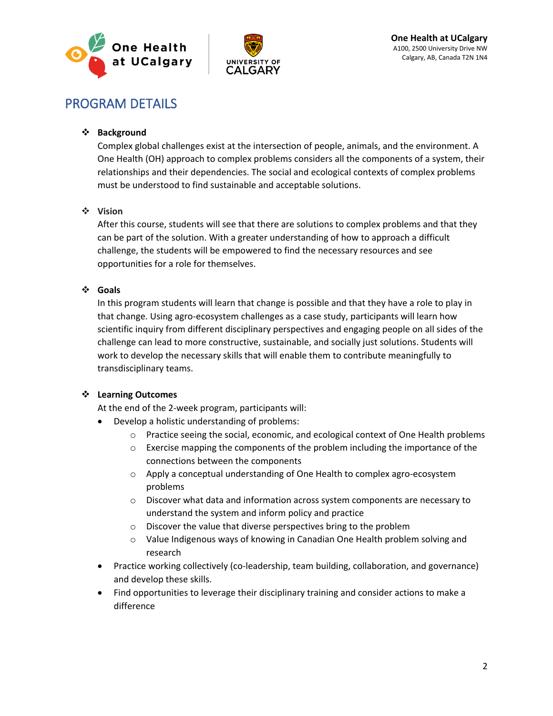



## PROGRAM DETAILS

#### ❖ **Background**

Complex global challenges exist at the intersection of people, animals, and the environment. A One Health (OH) approach to complex problems considers all the components of a system, their relationships and their dependencies. The social and ecological contexts of complex problems must be understood to find sustainable and acceptable solutions.

#### ❖ **Vision**

After this course, students will see that there are solutions to complex problems and that they can be part of the solution. With a greater understanding of how to approach a difficult challenge, the students will be empowered to find the necessary resources and see opportunities for a role for themselves.

#### ❖ **Goals**

In this program students will learn that change is possible and that they have a role to play in that change. Using agro-ecosystem challenges as a case study, participants will learn how scientific inquiry from different disciplinary perspectives and engaging people on all sides of the challenge can lead to more constructive, sustainable, and socially just solutions. Students will work to develop the necessary skills that will enable them to contribute meaningfully to transdisciplinary teams.

#### ❖ **Learning Outcomes**

At the end of the 2-week program, participants will:

- Develop a holistic understanding of problems:
	- $\circ$  Practice seeing the social, economic, and ecological context of One Health problems
	- o Exercise mapping the components of the problem including the importance of the connections between the components
	- $\circ$  Apply a conceptual understanding of One Health to complex agro-ecosystem problems
	- $\circ$  Discover what data and information across system components are necessary to understand the system and inform policy and practice
	- o Discover the value that diverse perspectives bring to the problem
	- o Value Indigenous ways of knowing in Canadian One Health problem solving and research
- Practice working collectively (co-leadership, team building, collaboration, and governance) and develop these skills.
- Find opportunities to leverage their disciplinary training and consider actions to make a difference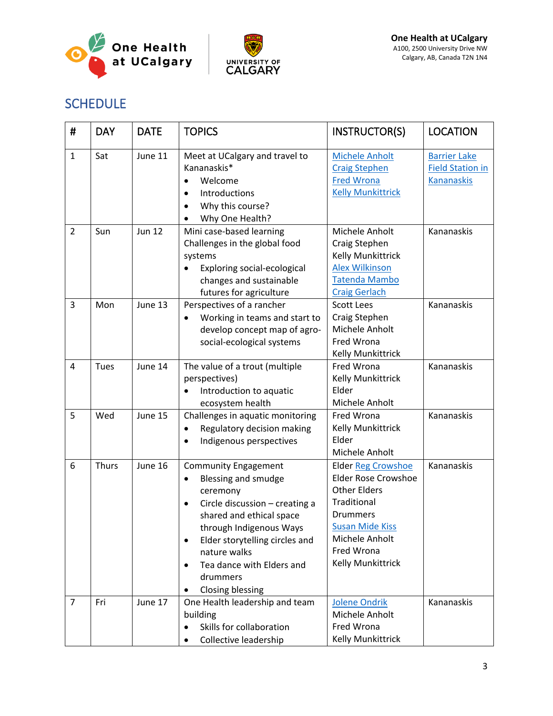



## SCHEDULE

| #              | <b>DAY</b> | <b>DATE</b>   | <b>TOPICS</b>                                                                                                                                                                                                                                                                                                     | INSTRUCTOR(S)                                                                                                                                                                                   | <b>LOCATION</b>                                                     |
|----------------|------------|---------------|-------------------------------------------------------------------------------------------------------------------------------------------------------------------------------------------------------------------------------------------------------------------------------------------------------------------|-------------------------------------------------------------------------------------------------------------------------------------------------------------------------------------------------|---------------------------------------------------------------------|
| $\mathbf{1}$   | Sat        | June 11       | Meet at UCalgary and travel to<br>Kananaskis*<br>Welcome<br>$\bullet$<br>Introductions<br>Why this course?<br>$\bullet$<br>Why One Health?                                                                                                                                                                        | <b>Michele Anholt</b><br><b>Craig Stephen</b><br><b>Fred Wrona</b><br><b>Kelly Munkittrick</b>                                                                                                  | <b>Barrier Lake</b><br><b>Field Station in</b><br><b>Kananaskis</b> |
| $\overline{2}$ | Sun        | <b>Jun 12</b> | Mini case-based learning<br>Challenges in the global food<br>systems<br>Exploring social-ecological<br>changes and sustainable<br>futures for agriculture                                                                                                                                                         | Michele Anholt<br>Craig Stephen<br>Kelly Munkittrick<br><b>Alex Wilkinson</b><br><b>Tatenda Mambo</b><br><b>Craig Gerlach</b>                                                                   | Kananaskis                                                          |
| 3              | Mon        | June 13       | Perspectives of a rancher<br>Working in teams and start to<br>٠<br>develop concept map of agro-<br>social-ecological systems                                                                                                                                                                                      | <b>Scott Lees</b><br>Craig Stephen<br>Michele Anholt<br>Fred Wrona<br>Kelly Munkittrick                                                                                                         | Kananaskis                                                          |
| $\overline{4}$ | Tues       | June 14       | The value of a trout (multiple<br>perspectives)<br>Introduction to aquatic<br>$\bullet$<br>ecosystem health                                                                                                                                                                                                       | Fred Wrona<br>Kelly Munkittrick<br>Elder<br>Michele Anholt                                                                                                                                      | Kananaskis                                                          |
| 5              | Wed        | June 15       | Challenges in aquatic monitoring<br>Regulatory decision making<br>$\bullet$<br>Indigenous perspectives<br>٠                                                                                                                                                                                                       | Fred Wrona<br>Kelly Munkittrick<br>Elder<br>Michele Anholt                                                                                                                                      | Kananaskis                                                          |
| 6              | Thurs      | June 16       | <b>Community Engagement</b><br>Blessing and smudge<br>$\bullet$<br>ceremony<br>Circle discussion - creating a<br>٠<br>shared and ethical space<br>through Indigenous Ways<br>Elder storytelling circles and<br>٠<br>nature walks<br>Tea dance with Elders and<br>$\bullet$<br>drummers<br><b>Closing blessing</b> | <b>Elder Reg Crowshoe</b><br><b>Elder Rose Crowshoe</b><br><b>Other Elders</b><br>Traditional<br><b>Drummers</b><br><b>Susan Mide Kiss</b><br>Michele Anholt<br>Fred Wrona<br>Kelly Munkittrick | Kananaskis                                                          |
| $\overline{7}$ | Fri        | June 17       | One Health leadership and team<br>building<br>Skills for collaboration<br>Collective leadership<br>٠                                                                                                                                                                                                              | <b>Jolene Ondrik</b><br>Michele Anholt<br>Fred Wrona<br><b>Kelly Munkittrick</b>                                                                                                                | Kananaskis                                                          |